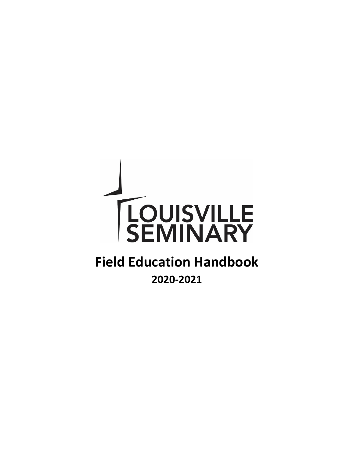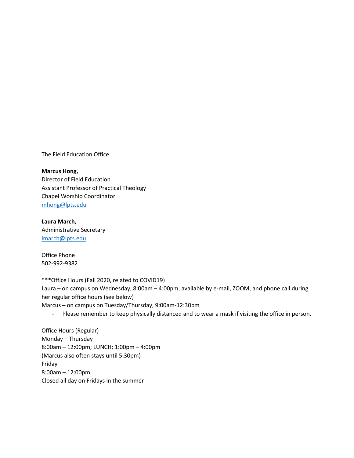The Field Education Office

#### **Marcus Hong,**

Director of Field Education Assistant Professor of Practical Theology Chapel Worship Coordinator [mhong@lpts.edu](mailto:mhong@lpts.edu)

**Laura March,** Administrative Secretary [lmarch@lpts.edu](mailto:lmarch@lpts.edu)

Office Phone 502-992-9382

\*\*\*Office Hours (Fall 2020, related to COVID19) Laura – on campus on Wednesday, 8:00am – 4:00pm, available by e-mail, ZOOM, and phone call during her regular office hours (see below) Marcus – on campus on Tuesday/Thursday, 9:00am-12:30pm

- Please remember to keep physically distanced and to wear a mask if visiting the office in person.

Office Hours (Regular) Monday – Thursday 8:00am – 12:00pm; LUNCH; 1:00pm – 4:00pm (Marcus also often stays until 5:30pm) Friday 8:00am – 12:00pm Closed all day on Fridays in the summer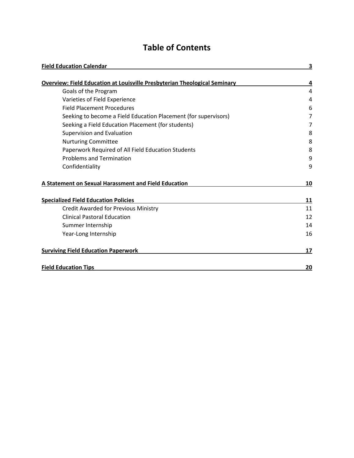## **Table of Contents**

| <b>Field Education Calendar</b>                                                  | 3  |
|----------------------------------------------------------------------------------|----|
| <b>Overview: Field Education at Louisville Presbyterian Theological Seminary</b> | 4  |
| Goals of the Program                                                             | 4  |
| Varieties of Field Experience                                                    | 4  |
| <b>Field Placement Procedures</b>                                                | 6  |
| Seeking to become a Field Education Placement (for supervisors)                  | 7  |
| Seeking a Field Education Placement (for students)                               | 7  |
| Supervision and Evaluation                                                       | 8  |
| <b>Nurturing Committee</b>                                                       | 8  |
| Paperwork Required of All Field Education Students                               | 8  |
| <b>Problems and Termination</b>                                                  | 9  |
| Confidentiality                                                                  | 9  |
| A Statement on Sexual Harassment and Field Education                             | 10 |
| <b>Specialized Field Education Policies</b>                                      | 11 |
| <b>Credit Awarded for Previous Ministry</b>                                      | 11 |
| <b>Clinical Pastoral Education</b>                                               | 12 |
| Summer Internship                                                                | 14 |
| Year-Long Internship                                                             | 16 |
| <b>Surviving Field Education Paperwork</b>                                       | 17 |
| <b>Field Education Tips</b>                                                      | 20 |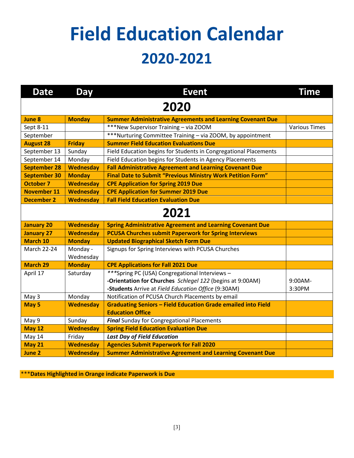# **Field Education Calendar 2020-2021**

| <b>Date</b>         | <b>Day</b>            | <b>Event</b>                                                         | <b>Time</b>          |  |  |  |  |  |  |  |
|---------------------|-----------------------|----------------------------------------------------------------------|----------------------|--|--|--|--|--|--|--|
| 2020                |                       |                                                                      |                      |  |  |  |  |  |  |  |
| <b>June 8</b>       | <b>Monday</b>         | <b>Summer Administrative Agreements and Learning Covenant Due</b>    |                      |  |  |  |  |  |  |  |
| Sept 8-11           |                       | ***New Supervisor Training - via ZOOM                                | <b>Various Times</b> |  |  |  |  |  |  |  |
| September           |                       | ***Nurturing Committee Training - via ZOOM, by appointment           |                      |  |  |  |  |  |  |  |
| <b>August 28</b>    | <b>Friday</b>         | <b>Summer Field Education Evaluations Due</b>                        |                      |  |  |  |  |  |  |  |
| September 13        | Sunday                | Field Education begins for Students in Congregational Placements     |                      |  |  |  |  |  |  |  |
| September 14        | Monday                | Field Education begins for Students in Agency Placements             |                      |  |  |  |  |  |  |  |
| <b>September 28</b> | <b>Wednesday</b>      | <b>Fall Administrative Agreement and Learning Covenant Due</b>       |                      |  |  |  |  |  |  |  |
| <b>September 30</b> | <b>Monday</b>         | Final Date to Submit "Previous Ministry Work Petition Form"          |                      |  |  |  |  |  |  |  |
| <b>October 7</b>    | <b>Wednesday</b>      | <b>CPE Application for Spring 2019 Due</b>                           |                      |  |  |  |  |  |  |  |
| <b>November 11</b>  | <b>Wednesday</b>      | <b>CPE Application for Summer 2019 Due</b>                           |                      |  |  |  |  |  |  |  |
| <b>December 2</b>   | <b>Wednesday</b>      | <b>Fall Field Education Evaluation Due</b>                           |                      |  |  |  |  |  |  |  |
| 2021                |                       |                                                                      |                      |  |  |  |  |  |  |  |
| <b>January 20</b>   | <b>Wednesday</b>      | <b>Spring Administrative Agreement and Learning Covenant Due</b>     |                      |  |  |  |  |  |  |  |
| <b>January 27</b>   | <b>Wednesday</b>      | <b>PCUSA Churches submit Paperwork for Spring Interviews</b>         |                      |  |  |  |  |  |  |  |
| <b>March 10</b>     | <b>Monday</b>         | <b>Updated Biographical Sketch Form Due</b>                          |                      |  |  |  |  |  |  |  |
| <b>March 22-24</b>  | Monday -<br>Wednesday | Signups for Spring Interviews with PCUSA Churches                    |                      |  |  |  |  |  |  |  |
| <b>March 29</b>     | <b>Monday</b>         | <b>CPE Applications for Fall 2021 Due</b>                            |                      |  |  |  |  |  |  |  |
| April 17            | Saturday              | ***Spring PC (USA) Congregational Interviews-                        |                      |  |  |  |  |  |  |  |
|                     |                       | -Orientation for Churches Schlegel 122 (begins at 9:00AM)            | 9:00AM-              |  |  |  |  |  |  |  |
|                     |                       | -Students Arrive at Field Education Office (9:30AM)                  | 3:30PM               |  |  |  |  |  |  |  |
| May 3               | Monday                | Notification of PCUSA Church Placements by email                     |                      |  |  |  |  |  |  |  |
| May 5               | <b>Wednesday</b>      | <b>Graduating Seniors - Field Education Grade emailed into Field</b> |                      |  |  |  |  |  |  |  |
|                     |                       | <b>Education Office</b>                                              |                      |  |  |  |  |  |  |  |
| May 9               | Sunday                | <b>Final Sunday for Congregational Placements</b>                    |                      |  |  |  |  |  |  |  |
| May 12              | <b>Wednesday</b>      | <b>Spring Field Education Evaluation Due</b>                         |                      |  |  |  |  |  |  |  |
| May 14              | Friday                | <b>Last Day of Field Education</b>                                   |                      |  |  |  |  |  |  |  |
| <b>May 21</b>       | <b>Wednesday</b>      | <b>Agencies Submit Paperwork for Fall 2020</b>                       |                      |  |  |  |  |  |  |  |
| June 2              | <b>Wednesday</b>      | <b>Summer Administrative Agreement and Learning Covenant Due</b>     |                      |  |  |  |  |  |  |  |

\*\*\***Dates Highlighted in Orange indicate Paperwork is Due**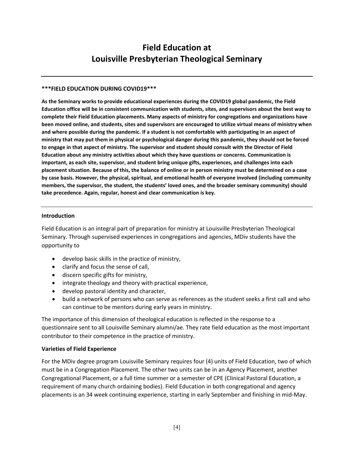### **Field Education at Louisville Presbyterian Theological Seminary**

#### **\*\*\*FIELD EDUCATION DURING COVID19\*\*\***

**As the Seminary works to provide educational experiences during the COVID19 global pandemic, the Field Education office will be in consistent communication with students, sites, and supervisors about the best way to complete their Field Education placements. Many aspects of ministry for congregations and organizations have been moved online, and students, sites and supervisors are encouraged to utilize virtual means of ministry when and where possible during the pandemic. If a student is not comfortable with participating in an aspect of ministry that may put them in physical or psychological danger during this pandemic, they should not be forced to engage in that aspect of ministry. The supervisor and student should consult with the Director of Field Education about any ministry activities about which they have questions or concerns. Communication is important, as each site, supervisor, and student bring unique gifts, experiences, and challenges into each placement situation. Because of this, the balance of online or in person ministry must be determined on a case by case basis. However, the physical, spiritual, and emotional health of everyone involved (including community members, the supervisor, the student, the students' loved ones, and the broader seminary community) should take precedence. Again, regular, honest and clear communication is key.**

### **Introduction**

Field Education is an integral part of preparation for ministry at Louisville Presbyterian Theological Seminary. Through supervised experiences in congregations and agencies, MDiv students have the opportunity to

- develop basic skills in the practice of ministry,
- clarify and focus the sense of call,
- discern specific gifts for ministry,
- integrate theology and theory with practical experience,
- develop pastoral identity and character,
- build a network of persons who can serve as references as the student seeks a first call and who can continue to be mentors during early years in ministry.

The importance of this dimension of theological education is reflected in the response to a questionnaire sent to all Louisville Seminary alumni/ae. They rate field education as the most important contributor to their competence in the practice of ministry.

### **Varieties of Field Experience**

For the MDiv degree program Louisville Seminary requires four (4) units of Field Education, two of which must be in a Congregation Placement. The other two units can be in an Agency Placement, another Congregational Placement, or a full time summer or a semester of CPE (Clinical Pastoral Education, a requirement of many church ordaining bodies). Field Education in both congregational and agency placements is an 34 week continuing experience, starting in early September and finishing in mid-May.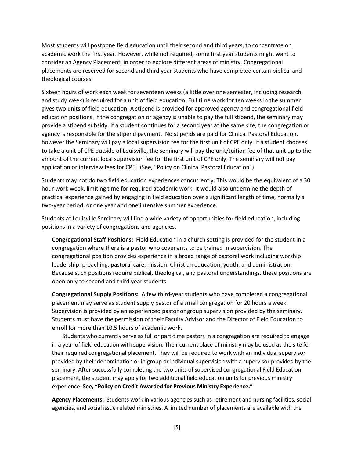Most students will postpone field education until their second and third years, to concentrate on academic work the first year. However, while not required, some first year students might want to consider an Agency Placement, in order to explore different areas of ministry. Congregational placements are reserved for second and third year students who have completed certain biblical and theological courses.

Sixteen hours of work each week for seventeen weeks (a little over one semester, including research and study week) is required for a unit of field education. Full time work for ten weeks in the summer gives two units of field education. A stipend is provided for approved agency and congregational field education positions. If the congregation or agency is unable to pay the full stipend, the seminary may provide a stipend subsidy. If a student continues for a second year at the same site, the congregation or agency is responsible for the stipend payment. No stipends are paid for Clinical Pastoral Education, however the Seminary will pay a local supervision fee for the first unit of CPE only. If a student chooses to take a unit of CPE outside of Louisville, the seminary will pay the unit/tuition fee of that unit up to the amount of the current local supervision fee for the first unit of CPE only. The seminary will not pay application or interview fees for CPE. (See, "Policy on Clinical Pastoral Education")

Students may not do two field education experiences concurrently. This would be the equivalent of a 30 hour work week, limiting time for required academic work. It would also undermine the depth of practical experience gained by engaging in field education over a significant length of time, normally a two-year period, or one year and one intensive summer experience.

Students at Louisville Seminary will find a wide variety of opportunities for field education, including positions in a variety of congregations and agencies.

**Congregational Staff Positions:** Field Education in a church setting is provided for the student in a congregation where there is a pastor who covenants to be trained in supervision. The congregational position provides experience in a broad range of pastoral work including worship leadership, preaching, pastoral care, mission, Christian education, youth, and administration. Because such positions require biblical, theological, and pastoral understandings, these positions are open only to second and third year students.

**Congregational Supply Positions:** A few third-year students who have completed a congregational placement may serve as student supply pastor of a small congregation for 20 hours a week. Supervision is provided by an experienced pastor or group supervision provided by the seminary. Students must have the permission of their Faculty Advisor and the Director of Field Education to enroll for more than 10.5 hours of academic work.

Students who currently serve as full or part-time pastors in a congregation are required to engage in a year of field education with supervision. Their current place of ministry may be used as the site for their required congregational placement. They will be required to work with an individual supervisor provided by their denomination or in group or individual supervision with a supervisor provided by the seminary. After successfully completing the two units of supervised congregational Field Education placement, the student may apply for two additional field education units for previous ministry experience. **See, "Policy on Credit Awarded for Previous Ministry Experience."**

**Agency Placements:** Students work in various agencies such as retirement and nursing facilities, social agencies, and social issue related ministries. A limited number of placements are available with the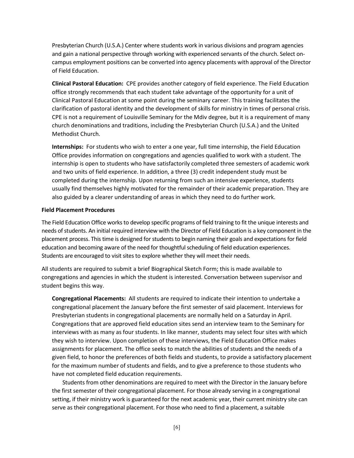Presbyterian Church (U.S.A.) Center where students work in various divisions and program agencies and gain a national perspective through working with experienced servants of the church. Select oncampus employment positions can be converted into agency placements with approval of the Director of Field Education.

**Clinical Pastoral Education:** CPE provides another category of field experience. The Field Education office strongly recommends that each student take advantage of the opportunity for a unit of Clinical Pastoral Education at some point during the seminary career. This training facilitates the clarification of pastoral identity and the development of skills for ministry in times of personal crisis. CPE is not a requirement of Louisville Seminary for the Mdiv degree, but it is a requirement of many church denominations and traditions, including the Presbyterian Church (U.S.A.) and the United Methodist Church.

**Internships:** For students who wish to enter a one year, full time internship, the Field Education Office provides information on congregations and agencies qualified to work with a student. The internship is open to students who have satisfactorily completed three semesters of academic work and two units of field experience. In addition, a three (3) credit independent study must be completed during the internship. Upon returning from such an intensive experience, students usually find themselves highly motivated for the remainder of their academic preparation. They are also guided by a clearer understanding of areas in which they need to do further work.

#### **Field Placement Procedures**

The Field Education Office works to develop specific programs of field training to fit the unique interests and needs of students. An initial required interview with the Director of Field Education is a key component in the placement process. This time is designed for students to begin naming their goals and expectations for field education and becoming aware of the need for thoughtful scheduling of field education experiences. Students are encouraged to visit sites to explore whether they will meet their needs.

All students are required to submit a brief Biographical Sketch Form; this is made available to congregations and agencies in which the student is interested. Conversation between supervisor and student begins this way.

**Congregational Placements:** All students are required to indicate their intention to undertake a congregational placement the January before the first semester of said placement. Interviews for Presbyterian students in congregational placements are normally held on a Saturday in April. Congregations that are approved field education sites send an interview team to the Seminary for interviews with as many as four students. In like manner, students may select four sites with which they wish to interview. Upon completion of these interviews, the Field Education Office makes assignments for placement. The office seeks to match the abilities of students and the needs of a given field, to honor the preferences of both fields and students, to provide a satisfactory placement for the maximum number of students and fields, and to give a preference to those students who have not completed field education requirements.

Students from other denominations are required to meet with the Director in the January before the first semester of their congregational placement. For those already serving in a congregational setting, if their ministry work is guaranteed for the next academic year, their current ministry site can serve as their congregational placement. For those who need to find a placement, a suitable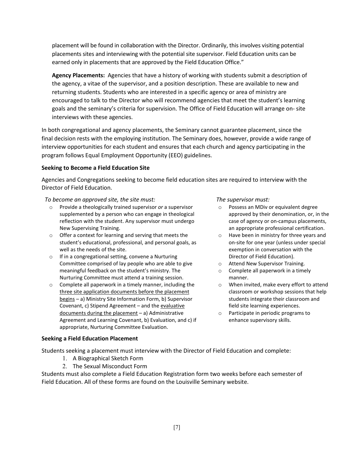placement will be found in collaboration with the Director. Ordinarily, this involves visiting potential placements sites and interviewing with the potential site supervisor. Field Education units can be earned only in placements that are approved by the Field Education Office."

**Agency Placements:** Agencies that have a history of working with students submit a description of the agency, a vitae of the supervisor, and a position description. These are available to new and returning students. Students who are interested in a specific agency or area of ministry are encouraged to talk to the Director who will recommend agencies that meet the student's learning goals and the seminary's criteria for supervision. The Office of Field Education will arrange on- site interviews with these agencies.

In both congregational and agency placements, the Seminary cannot guarantee placement, since the final decision rests with the employing institution. The Seminary does, however, provide a wide range of interview opportunities for each student and ensures that each church and agency participating in the program follows Equal Employment Opportunity (EEO) guidelines.

### **Seeking to Become a Field Education Site**

Agencies and Congregations seeking to become field education sites are required to interview with the Director of Field Education.

### *To become an approved site, the site must:*

- o Provide a theologically trained supervisor *or* a supervisor supplemented by a person who can engage in theological reflection with the student. Any supervisor must undergo New Supervising Training.
- o Offer a context for learning and serving that meets the student's educational, professional, and personal goals, as well as the needs of the site.
- o If in a congregational setting, convene a Nurturing Committee comprised of lay people who are able to give meaningful feedback on the student's ministry. The Nurturing Committee must attend a training session.
- o Complete all paperwork in a timely manner, including the three site application documents before the placement begins – a) Ministry Site Information Form, b) Supervisor Covenant, c) Stipend Agreement – and the evaluative documents during the placement – a) Administrative Agreement and Learning Covenant, b) Evaluation, and c) if appropriate, Nurturing Committee Evaluation.

### **Seeking a Field Education Placement**

Students seeking a placement must interview with the Director of Field Education and complete:

- 1. A Biographical Sketch Form
- 2. The Sexual Misconduct Form

Students must also complete a Field Education Registration form two weeks before each semester of Field Education. All of these forms are found on the Louisville Seminary website.

#### *The supervisor must:*

- o Possess an MDiv or equivalent degree approved by their denomination, or, in the case of agency or on-campus placements, an appropriate professional certification.
- o Have been in ministry for three years and on-site for one year (unless under special exemption in conversation with the Director of Field Education).
- o Attend New Supervisor Training.
- o Complete all paperwork in a timely manner.
- o When invited, make every effort to attend classroom or workshop sessions that help students integrate their classroom and field site learning experiences.
- o Participate in periodic programs to enhance supervisory skills.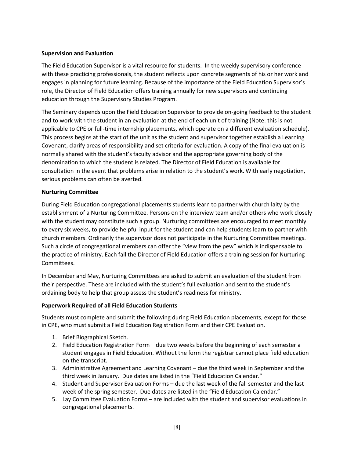### **Supervision and Evaluation**

The Field Education Supervisor is a vital resource for students. In the weekly supervisory conference with these practicing professionals, the student reflects upon concrete segments of his or her work and engages in planning for future learning. Because of the importance of the Field Education Supervisor's role, the Director of Field Education offers training annually for new supervisors and continuing education through the Supervisory Studies Program.

The Seminary depends upon the Field Education Supervisor to provide on-going feedback to the student and to work with the student in an evaluation at the end of each unit of training (Note: this is not applicable to CPE or full-time internship placements, which operate on a different evaluation schedule). This process begins at the start of the unit as the student and supervisor together establish a Learning Covenant, clarify areas of responsibility and set criteria for evaluation. A copy of the final evaluation is normally shared with the student's faculty advisor and the appropriate governing body of the denomination to which the student is related. The Director of Field Education is available for consultation in the event that problems arise in relation to the student's work. With early negotiation, serious problems can often be averted.

### **Nurturing Committee**

During Field Education congregational placements students learn to partner with church laity by the establishment of a Nurturing Committee. Persons on the interview team and/or others who work closely with the student may constitute such a group. Nurturing committees are encouraged to meet monthly to every six weeks, to provide helpful input for the student and can help students learn to partner with church members. Ordinarily the supervisor does not participate in the Nurturing Committee meetings. Such a circle of congregational members can offer the "view from the pew" which is indispensable to the practice of ministry. Each fall the Director of Field Education offers a training session for Nurturing Committees.

In December and May, Nurturing Committees are asked to submit an evaluation of the student from their perspective. These are included with the student's full evaluation and sent to the student's ordaining body to help that group assess the student's readiness for ministry.

### **Paperwork Required of all Field Education Students**

Students must complete and submit the following during Field Education placements, except for those in CPE, who must submit a Field Education Registration Form and their CPE Evaluation.

- 1. Brief Biographical Sketch.
- 2. Field Education Registration Form due two weeks before the beginning of each semester a student engages in Field Education. Without the form the registrar cannot place field education on the transcript.
- 3. Administrative Agreement and Learning Covenant due the third week in September and the third week in January. Due dates are listed in the "Field Education Calendar."
- 4. Student and Supervisor Evaluation Forms due the last week of the fall semester and the last week of the spring semester. Due dates are listed in the "Field Education Calendar."
- 5. Lay Committee Evaluation Forms are included with the student and supervisor evaluations in congregational placements.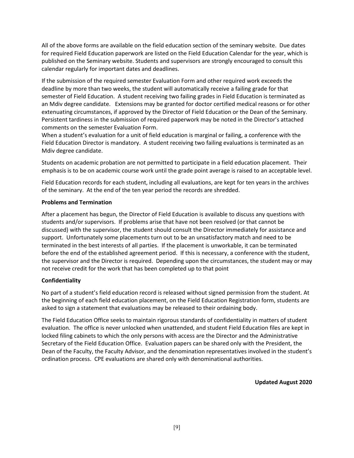All of the above forms are available on the field education section of the seminary website. Due dates for required Field Education paperwork are listed on the Field Education Calendar for the year, which is published on the Seminary website. Students and supervisors are strongly encouraged to consult this calendar regularly for important dates and deadlines.

If the submission of the required semester Evaluation Form and other required work exceeds the deadline by more than two weeks, the student will automatically receive a failing grade for that semester of Field Education. A student receiving two failing grades in Field Education is terminated as an Mdiv degree candidate. Extensions may be granted for doctor certified medical reasons or for other extenuating circumstances, if approved by the Director of Field Education or the Dean of the Seminary. Persistent tardiness in the submission of required paperwork may be noted in the Director's attached comments on the semester Evaluation Form.

When a student's evaluation for a unit of field education is marginal or failing, a conference with the Field Education Director is mandatory. A student receiving two failing evaluations is terminated as an Mdiv degree candidate.

Students on academic probation are not permitted to participate in a field education placement. Their emphasis is to be on academic course work until the grade point average is raised to an acceptable level.

Field Education records for each student, including all evaluations, are kept for ten years in the archives of the seminary. At the end of the ten year period the records are shredded.

### **Problems and Termination**

After a placement has begun, the Director of Field Education is available to discuss any questions with students and/or supervisors. If problems arise that have not been resolved (or that cannot be discussed) with the supervisor, the student should consult the Director immediately for assistance and support. Unfortunately some placements turn out to be an unsatisfactory match and need to be terminated in the best interests of all parties. If the placement is unworkable, it can be terminated before the end of the established agreement period. If this is necessary, a conference with the student, the supervisor and the Director is required. Depending upon the circumstances, the student may or may not receive credit for the work that has been completed up to that point

### **Confidentiality**

No part of a student's field education record is released without signed permission from the student. At the beginning of each field education placement, on the Field Education Registration form, students are asked to sign a statement that evaluations may be released to their ordaining body.

The Field Education Office seeks to maintain rigorous standards of confidentiality in matters of student evaluation. The office is never unlocked when unattended, and student Field Education files are kept in locked filing cabinets to which the only persons with access are the Director and the Administrative Secretary of the Field Education Office. Evaluation papers can be shared only with the President, the Dean of the Faculty, the Faculty Advisor, and the denomination representatives involved in the student's ordination process. CPE evaluations are shared only with denominational authorities.

**Updated August 2020**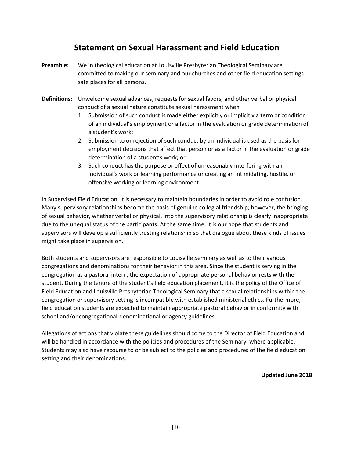### **Statement on Sexual Harassment and Field Education**

- **Preamble:** We in theological education at Louisville Presbyterian Theological Seminary are committed to making our seminary and our churches and other field education settings safe places for all persons.
- **Definitions:** Unwelcome sexual advances, requests for sexual favors, and other verbal or physical conduct of a sexual nature constitute sexual harassment when
	- 1. Submission of such conduct is made either explicitly or implicitly a term or condition of an individual's employment or a factor in the evaluation or grade determination of a student's work;
	- 2. Submission to or rejection of such conduct by an individual is used as the basis for employment decisions that affect that person or as a factor in the evaluation or grade determination of a student's work; or
	- 3. Such conduct has the purpose or effect of unreasonably interfering with an individual's work or learning performance or creating an intimidating, hostile, or offensive working or learning environment.

In Supervised Field Education, it is necessary to maintain boundaries in order to avoid role confusion. Many supervisory relationships become the basis of genuine collegial friendship; however, the bringing of sexual behavior, whether verbal or physical, into the supervisory relationship is clearly inappropriate due to the unequal status of the participants. At the same time, it is our hope that students and supervisors will develop a sufficiently trusting relationship so that dialogue about these kinds of issues might take place in supervision.

Both students and supervisors are responsible to Louisville Seminary as well as to their various congregations and denominations for their behavior in this area. Since the student is serving in the congregation as a pastoral intern, the expectation of appropriate personal behavior rests with the student. During the tenure of the student's field education placement, it is the policy of the Office of Field Education and Louisville Presbyterian Theological Seminary that a sexual relationships within the congregation or supervisory setting is incompatible with established ministerial ethics. Furthermore, field education students are expected to maintain appropriate pastoral behavior in conformity with school and/or congregational-denominational or agency guidelines.

Allegations of actions that violate these guidelines should come to the Director of Field Education and will be handled in accordance with the policies and procedures of the Seminary, where applicable. Students may also have recourse to or be subject to the policies and procedures of the field education setting and their denominations.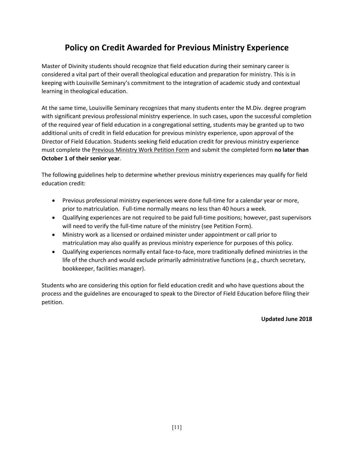### **Policy on Credit Awarded for Previous Ministry Experience**

Master of Divinity students should recognize that field education during their seminary career is considered a vital part of their overall theological education and preparation for ministry. This is in keeping with Louisville Seminary's commitment to the integration of academic study and contextual learning in theological education.

At the same time, Louisville Seminary recognizes that many students enter the M.Div. degree program with significant previous professional ministry experience. In such cases, upon the successful completion of the required year of field education in a congregational setting, students may be granted up to two additional units of credit in field education for previous ministry experience, upon approval of the Director of Field Education. Students seeking field education credit for previous ministry experience must complete the Previous Ministry Work Petition Form and submit the completed form **no later than October 1 of their senior year**.

The following guidelines help to determine whether previous ministry experiences may qualify for field education credit:

- Previous professional ministry experiences were done full-time for a calendar year or more, prior to matriculation. Full-time normally means no less than 40 hours a week.
- Qualifying experiences are not required to be paid full-time positions; however, past supervisors will need to verify the full-time nature of the ministry (see Petition Form).
- Ministry work as a licensed or ordained minister under appointment or call prior to matriculation may also qualify as previous ministry experience for purposes of this policy.
- Qualifying experiences normally entail face-to-face, more traditionally defined ministries in the life of the church and would exclude primarily administrative functions (e.g., church secretary, bookkeeper, facilities manager).

Students who are considering this option for field education credit and who have questions about the process and the guidelines are encouraged to speak to the Director of Field Education before filing their petition.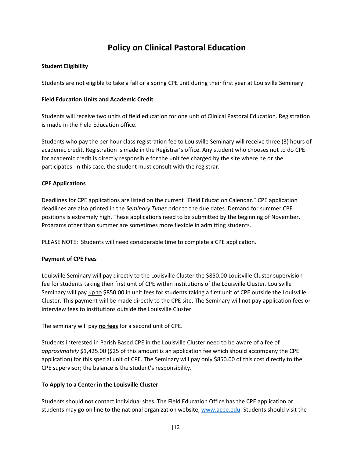### **Policy on Clinical Pastoral Education**

### **Student Eligibility**

Students are not eligible to take a fall or a spring CPE unit during their first year at Louisville Seminary.

### **Field Education Units and Academic Credit**

Students will receive two units of field education for one unit of Clinical Pastoral Education. Registration is made in the Field Education office.

Students who pay the per hour class registration fee to Louisville Seminary will receive three (3) hours of academic credit. Registration is made in the Registrar's office. Any student who chooses not to do CPE for academic credit is directly responsible for the unit fee charged by the site where he or she participates. In this case, the student must consult with the registrar.

### **CPE Applications**

Deadlines for CPE applications are listed on the current "Field Education Calendar." CPE application deadlines are also printed in the *Seminary Times* prior to the due dates. Demand for summer CPE positions is extremely high. These applications need to be submitted by the beginning of November. Programs other than summer are sometimes more flexible in admitting students.

PLEASE NOTE: Students will need considerable time to complete a CPE application.

### **Payment of CPE Fees**

Louisville Seminary will pay directly to the Louisville Cluster the \$850.00 Louisville Cluster supervision fee for students taking their first unit of CPE within institutions of the Louisville Cluster. Louisville Seminary will pay up to \$850.00 in unit fees for students taking a first unit of CPE outside the Louisville Cluster. This payment will be made directly to the CPE site. The Seminary will not pay application fees or interview fees to institutions outside the Louisville Cluster.

The seminary will pay **no fees** for a second unit of CPE.

Students interested in Parish Based CPE in the Louisville Cluster need to be aware of a fee of *approximately* \$1,425.00 (\$25 of this amount is an application fee which should accompany the CPE application) for this special unit of CPE. The Seminary will pay only \$850.00 of this cost directly to the CPE supervisor; the balance is the student's responsibility.

### **To Apply to a Center in the Louisville Cluster**

Students should not contact individual sites. The Field Education Office has the CPE application or students may go on line to the national organization website, [www.acpe.edu.](http://www.acpe.edu/) Students should visit the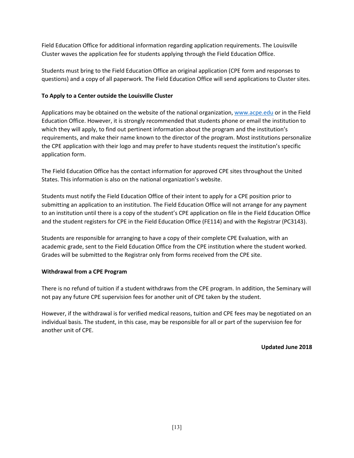Field Education Office for additional information regarding application requirements. The Louisville Cluster waves the application fee for students applying through the Field Education Office.

Students must bring to the Field Education Office an original application (CPE form and responses to questions) and a copy of all paperwork. The Field Education Office will send applications to Cluster sites.

### **To Apply to a Center outside the Louisville Cluster**

Applications may be obtained on the website of the national organization[, www.acpe.edu](http://www.acpe.edu/) or in the Field Education Office. However, it is strongly recommended that students phone or email the institution to which they will apply, to find out pertinent information about the program and the institution's requirements, and make their name known to the director of the program. Most institutions personalize the CPE application with their logo and may prefer to have students request the institution's specific application form.

The Field Education Office has the contact information for approved CPE sites throughout the United States. This information is also on the national organization's website.

Students must notify the Field Education Office of their intent to apply for a CPE position prior to submitting an application to an institution. The Field Education Office will not arrange for any payment to an institution until there is a copy of the student's CPE application on file in the Field Education Office and the student registers for CPE in the Field Education Office (FE114) and with the Registrar (PC3143).

Students are responsible for arranging to have a copy of their complete CPE Evaluation, with an academic grade, sent to the Field Education Office from the CPE institution where the student worked. Grades will be submitted to the Registrar only from forms received from the CPE site.

### **Withdrawal from a CPE Program**

There is no refund of tuition if a student withdraws from the CPE program. In addition, the Seminary will not pay any future CPE supervision fees for another unit of CPE taken by the student.

However, if the withdrawal is for verified medical reasons, tuition and CPE fees may be negotiated on an individual basis. The student, in this case, may be responsible for all or part of the supervision fee for another unit of CPE.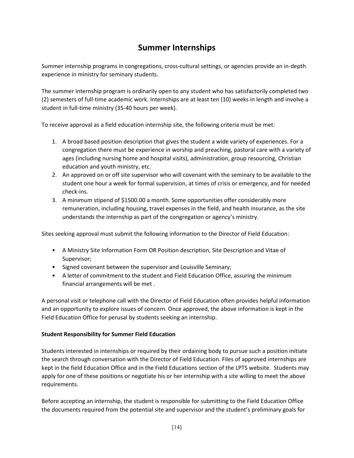### **Summer Internships**

Summer internship programs in congregations, cross-cultural settings, or agencies provide an in-depth experience in ministry for seminary students.

The summer internship program is ordinarily open to any student who has satisfactorily completed two (2) semesters of full-time academic work. Internships are at least ten (10) weeks in length and involve a student in full-time ministry (35-40 hours per week).

To receive approval as a field education internship site, the following criteria must be met:

- 1. A broad based position description that gives the student a wide variety of experiences. For a congregation there must be experience in worship and preaching, pastoral care with a variety of ages (including nursing home and hospital visits), administration, group resourcing, Christian education and youth ministry, etc.
- 2. An approved on or off site supervisor who will covenant with the seminary to be available to the student one hour a week for formal supervision, at times of crisis or emergency, and for needed check-ins.
- 3. A minimum stipend of \$1500.00 a month. Some opportunities offer considerably more remuneration, including housing, travel expenses in the field, and health insurance, as the site understands the internship as part of the congregation or agency's ministry.

Sites seeking approval must submit the following information to the Director of Field Education:

- A Ministry Site Information Form OR Position description, Site Description and Vitae of Supervisor;
- Signed covenant between the supervisor and Louisville Seminary;
- A letter of commitment to the student and Field Education Office, assuring the minimum financial arrangements will be met .

A personal visit or telephone call with the Director of Field Education often provides helpful information and an opportunity to explore issues of concern. Once approved, the above information is kept in the Field Education Office for perusal by students seeking an internship.

### **Student Responsibility for Summer Field Education**

Students interested in internships or required by their ordaining body to pursue such a position initiate the search through conversation with the Director of Field Education. Files of approved internships are kept in the field Education Office and in the Field Educations section of the LPTS website. Students may apply for one of these positions or negotiate his or her internship with a site willing to meet the above requirements.

Before accepting an internship, the student is responsible for submitting to the Field Education Office the documents required from the potential site and supervisor and the student's preliminary goals for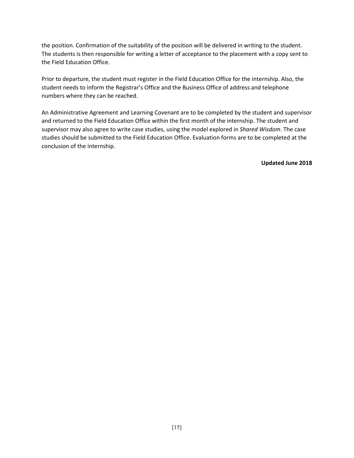the position. Confirmation of the suitability of the position will be delivered in writing to the student. The students is then responsible for writing a letter of acceptance to the placement with a copy sent to the Field Education Office.

Prior to departure, the student must register in the Field Education Office for the internship. Also, the student needs to inform the Registrar's Office and the Business Office of address and telephone numbers where they can be reached.

An Administrative Agreement and Learning Covenant are to be completed by the student and supervisor and returned to the Field Education Office within the first month of the internship. The student and supervisor may also agree to write case studies, using the model explored in *Shared Wisdom*. The case studies should be submitted to the Field Education Office. Evaluation forms are to be completed at the conclusion of the internship.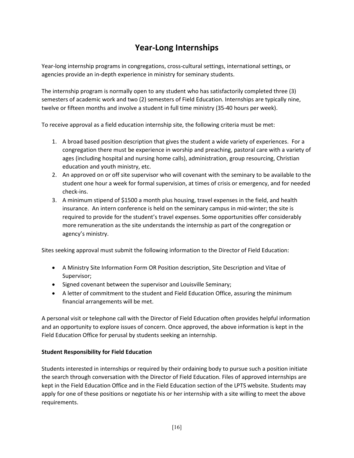### **Year-Long Internships**

Year-long internship programs in congregations, cross-cultural settings, international settings, or agencies provide an in-depth experience in ministry for seminary students.

The internship program is normally open to any student who has satisfactorily completed three (3) semesters of academic work and two (2) semesters of Field Education. Internships are typically nine, twelve or fifteen months and involve a student in full time ministry (35-40 hours per week).

To receive approval as a field education internship site, the following criteria must be met:

- 1. A broad based position description that gives the student a wide variety of experiences. For a congregation there must be experience in worship and preaching, pastoral care with a variety of ages (including hospital and nursing home calls), administration, group resourcing, Christian education and youth ministry, etc.
- 2. An approved on or off site supervisor who will covenant with the seminary to be available to the student one hour a week for formal supervision, at times of crisis or emergency, and for needed check-ins.
- 3. A minimum stipend of \$1500 a month plus housing, travel expenses in the field, and health insurance. An intern conference is held on the seminary campus in mid-winter; the site is required to provide for the student's travel expenses. Some opportunities offer considerably more remuneration as the site understands the internship as part of the congregation or agency's ministry.

Sites seeking approval must submit the following information to the Director of Field Education:

- A Ministry Site Information Form OR Position description, Site Description and Vitae of Supervisor;
- Signed covenant between the supervisor and Louisville Seminary;
- A letter of commitment to the student and Field Education Office, assuring the minimum financial arrangements will be met.

A personal visit or telephone call with the Director of Field Education often provides helpful information and an opportunity to explore issues of concern. Once approved, the above information is kept in the Field Education Office for perusal by students seeking an internship.

### **Student Responsibility for Field Education**

Students interested in internships or required by their ordaining body to pursue such a position initiate the search through conversation with the Director of Field Education. Files of approved internships are kept in the Field Education Office and in the Field Education section of the LPTS website. Students may apply for one of these positions or negotiate his or her internship with a site willing to meet the above requirements.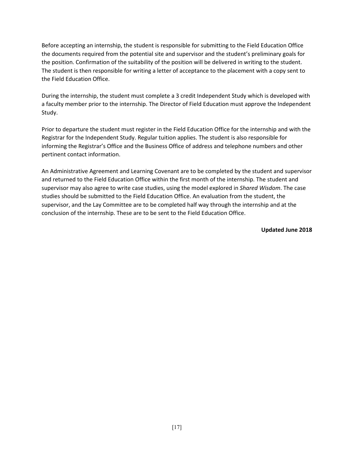Before accepting an internship, the student is responsible for submitting to the Field Education Office the documents required from the potential site and supervisor and the student's preliminary goals for the position. Confirmation of the suitability of the position will be delivered in writing to the student. The student is then responsible for writing a letter of acceptance to the placement with a copy sent to the Field Education Office.

During the internship, the student must complete a 3 credit Independent Study which is developed with a faculty member prior to the internship. The Director of Field Education must approve the Independent Study.

Prior to departure the student must register in the Field Education Office for the internship and with the Registrar for the Independent Study. Regular tuition applies. The student is also responsible for informing the Registrar's Office and the Business Office of address and telephone numbers and other pertinent contact information.

An Administrative Agreement and Learning Covenant are to be completed by the student and supervisor and returned to the Field Education Office within the first month of the internship. The student and supervisor may also agree to write case studies, using the model explored in *Shared Wisdom*. The case studies should be submitted to the Field Education Office. An evaluation from the student, the supervisor, and the Lay Committee are to be completed half way through the internship and at the conclusion of the internship. These are to be sent to the Field Education Office.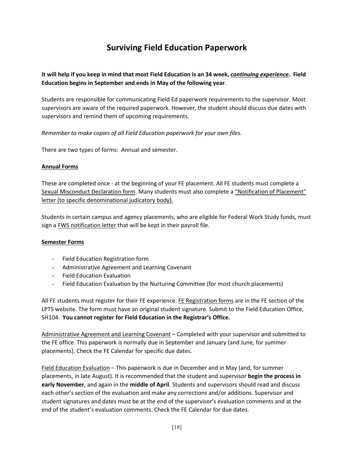### **Surviving Field Education Paperwork**

**It will help if you keep in mind that most Field Education is an 34 week,** *continuing experience***. Field Education begins in September and ends in May of the following year**.

Students are responsible for communicating Field Ed paperwork requirements to the supervisor. Most supervisors are aware of the required paperwork. However, the student should discuss due dates with supervisors and remind them of upcoming requirements.

*Remember to make copies of all Field Education paperwork for your own files.*

There are two types of forms: Annual and semester.

### **Annual Forms**

These are completed once - at the beginning of your FE placement. All FE students must complete a Sexual Misconduct Declaration form. Many students must also complete a "Notification of Placement" letter (to specific denominational judicatory body).

Students in certain campus and agency placements, who are eligible for Federal Work Study funds, must sign a FWS notification letter that will be kept in their payroll file.

### **Semester Forms**

- Field Education Registration form
- Administrative Agreement and Learning Covenant
- Field Education Evaluation
- Field Education Evaluation by the Nurturing Committee (for most church placements)

All FE students must register for their FE experience. FE Registration forms are in the FE section of the LPTS website. The form must have an original student signature. Submit to the Field Education Office, SH104. **You cannot register for Field Education in the Registrar's Office.**

Administrative Agreement and Learning Covenant – Completed with your supervisor and submitted to the FE office. This paperwork is normally due in September and January (and June, for summer placements). Check the FE Calendar for specific due dates.

Field Education Evaluation – This paperwork is due in December and in May (and, for summer placements, in late August). It is recommended that the student and supervisor **begin the process in early November**, and again in the **middle of April**. Students and supervisors should read and discuss each other's section of the evaluation and make any corrections and/or additions. Supervisor and student signatures and dates must be at the end of the supervisor's evaluation comments and at the end of the student's evaluation comments. Check the FE Calendar for due dates.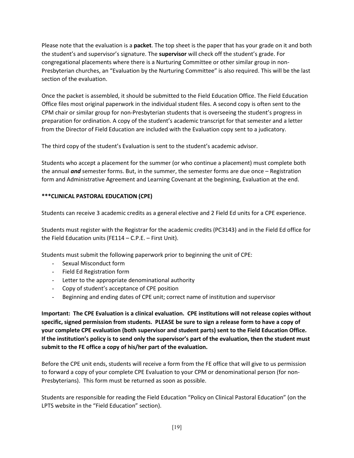Please note that the evaluation is a **packet**. The top sheet is the paper that has your grade on it and both the student's and supervisor's signature. The **supervisor** will check off the student's grade. For congregational placements where there is a Nurturing Committee or other similar group in non-Presbyterian churches, an "Evaluation by the Nurturing Committee" is also required. This will be the last section of the evaluation.

Once the packet is assembled, it should be submitted to the Field Education Office. The Field Education Office files most original paperwork in the individual student files. A second copy is often sent to the CPM chair or similar group for non-Presbyterian students that is overseeing the student's progress in preparation for ordination. A copy of the student's academic transcript for that semester and a letter from the Director of Field Education are included with the Evaluation copy sent to a judicatory.

The third copy of the student's Evaluation is sent to the student's academic advisor.

Students who accept a placement for the summer (or who continue a placement) must complete both the annual *and* semester forms. But, in the summer, the semester forms are due once – Registration form and Administrative Agreement and Learning Covenant at the beginning, Evaluation at the end.

### **\*\*\*CLINICAL PASTORAL EDUCATION (CPE)**

Students can receive 3 academic credits as a general elective and 2 Field Ed units for a CPE experience.

Students must register with the Registrar for the academic credits (PC3143) and in the Field Ed office for the Field Education units (FE114 – C.P.E. – First Unit).

Students must submit the following paperwork prior to beginning the unit of CPE:

- Sexual Misconduct form
- Field Ed Registration form
- Letter to the appropriate denominational authority
- Copy of student's acceptance of CPE position
- Beginning and ending dates of CPE unit; correct name of institution and supervisor

**Important: The CPE Evaluation is a clinical evaluation. CPE institutions will not release copies without specific, signed permission from students. PLEASE be sure to sign a release form to have a copy of your complete CPE evaluation (both supervisor and student parts) sent to the Field Education Office. If the institution's policy is to send only the supervisor's part of the evaluation, then the student must submit to the FE office a copy of his/her part of the evaluation.**

Before the CPE unit ends, students will receive a form from the FE office that will give to us permission to forward a copy of your complete CPE Evaluation to your CPM or denominational person (for non-Presbyterians). This form must be returned as soon as possible.

Students are responsible for reading the Field Education "Policy on Clinical Pastoral Education" (on the LPTS website in the "Field Education" section).